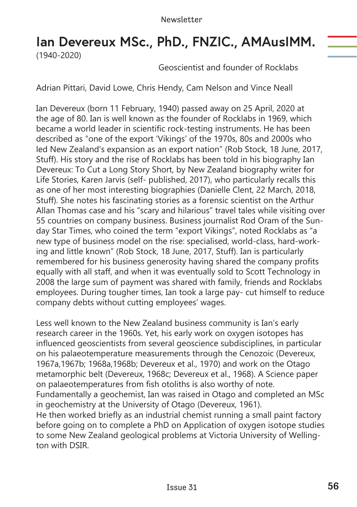## **Ian Devereux MSc., PhD., FNZIC., AMAusIMM.**  (1940-2020)

Geoscientist and founder of Rocklabs

Adrian Pittari, David Lowe, Chris Hendy, Cam Nelson and Vince Neall

Ian Devereux (born 11 February, 1940) passed away on 25 April, 2020 at the age of 80. Ian is well known as the founder of Rocklabs in 1969, which became a world leader in scientific rock-testing instruments. He has been described as "one of the export 'Vikings' of the 1970s, 80s and 2000s who led New Zealand's expansion as an export nation" (Rob Stock, 18 June, 2017, Stuff). His story and the rise of Rocklabs has been told in his biography Ian Devereux: To Cut a Long Story Short, by New Zealand biography writer for Life Stories, Karen Jarvis (self- published, 2017), who particularly recalls this as one of her most interesting biographies (Danielle Clent, 22 March, 2018, Stuff). She notes his fascinating stories as a forensic scientist on the Arthur Allan Thomas case and his "scary and hilarious" travel tales while visiting over 55 countries on company business. Business journalist Rod Oram of the Sunday Star Times, who coined the term "export Vikings", noted Rocklabs as "a new type of business model on the rise: specialised, world-class, hard-working and little known" (Rob Stock, 18 June, 2017, Stuff). Ian is particularly remembered for his business generosity having shared the company profits equally with all staff, and when it was eventually sold to Scott Technology in 2008 the large sum of payment was shared with family, friends and Rocklabs employees. During tougher times, Ian took a large pay- cut himself to reduce company debts without cutting employees' wages.

Less well known to the New Zealand business community is Ian's early research career in the 1960s. Yet, his early work on oxygen isotopes has influenced geoscientists from several geoscience subdisciplines, in particular on his palaeotemperature measurements through the Cenozoic (Devereux, 1967a,1967b; 1968a,1968b; Devereux et al., 1970) and work on the Otago metamorphic belt (Devereux, 1968c; Devereux et al., 1968). A Science paper on palaeotemperatures from fish otoliths is also worthy of note. Fundamentally a geochemist, Ian was raised in Otago and completed an MSc in geochemistry at the University of Otago (Devereux, 1961). He then worked briefly as an industrial chemist running a small paint factory before going on to complete a PhD on Application of oxygen isotope studies to some New Zealand geological problems at Victoria University of Wellington with DSIR.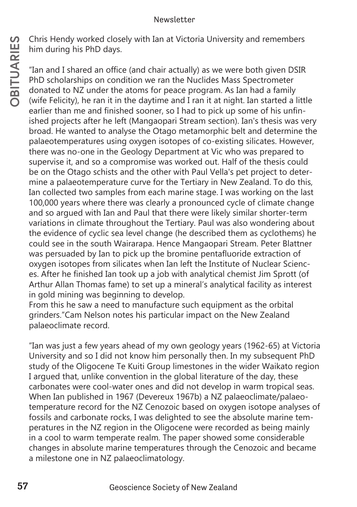him during his PhD days.

On this Hendy worked closely with lan at Victoria University and remembers<br>
The mand I shared an office (and chair actually) as we were both given DSIR<br>
The photocharships on condition we ran the Nuclides Mass Spectrometre "Ian and I shared an office (and chair actually) as we were both given DSIR PhD scholarships on condition we ran the Nuclides Mass Spectrometer donated to NZ under the atoms for peace program. As Ian had a family (wife Felicity), he ran it in the daytime and I ran it at night. Ian started a little earlier than me and finished sooner, so I had to pick up some of his unfinished projects after he left (Mangaopari Stream section). Ian's thesis was very broad. He wanted to analyse the Otago metamorphic belt and determine the palaeotemperatures using oxygen isotopes of co-existing silicates. However, there was no-one in the Geology Department at Vic who was prepared to supervise it, and so a compromise was worked out. Half of the thesis could be on the Otago schists and the other with Paul Vella's pet project to determine a palaeotemperature curve for the Tertiary in New Zealand. To do this, Ian collected two samples from each marine stage. I was working on the last 100,000 years where there was clearly a pronounced cycle of climate change and so argued with Ian and Paul that there were likely similar shorter-term variations in climate throughout the Tertiary. Paul was also wondering about the evidence of cyclic sea level change (he described them as cyclothems) he could see in the south Wairarapa. Hence Mangaopari Stream. Peter Blattner was persuaded by Ian to pick up the bromine pentafluoride extraction of oxygen isotopes from silicates when Ian left the Institute of Nuclear Sciences. After he finished Ian took up a job with analytical chemist Jim Sprott (of Arthur Allan Thomas fame) to set up a mineral's analytical facility as interest in gold mining was beginning to develop.

From this he saw a need to manufacture such equipment as the orbital grinders."Cam Nelson notes his particular impact on the New Zealand palaeoclimate record.

"Ian was just a few years ahead of my own geology years (1962-65) at Victoria University and so I did not know him personally then. In my subsequent PhD study of the Oligocene Te Kuiti Group limestones in the wider Waikato region I argued that, unlike convention in the global literature of the day, these carbonates were cool-water ones and did not develop in warm tropical seas. When Ian published in 1967 (Devereux 1967b) a NZ palaeoclimate/palaeotemperature record for the NZ Cenozoic based on oxygen isotope analyses of fossils and carbonate rocks, I was delighted to see the absolute marine temperatures in the NZ region in the Oligocene were recorded as being mainly in a cool to warm temperate realm. The paper showed some considerable changes in absolute marine temperatures through the Cenozoic and became a milestone one in NZ palaeoclimatology.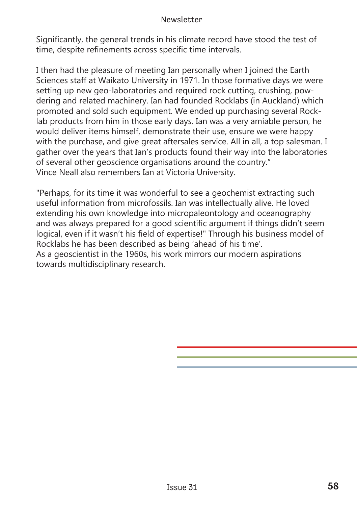## Newsletter

Significantly, the general trends in his climate record have stood the test of time, despite refinements across specific time intervals.

I then had the pleasure of meeting Ian personally when I joined the Earth Sciences staff at Waikato University in 1971. In those formative days we were setting up new geo-laboratories and required rock cutting, crushing, powdering and related machinery. Ian had founded Rocklabs (in Auckland) which promoted and sold such equipment. We ended up purchasing several Rocklab products from him in those early days. Ian was a very amiable person, he would deliver items himself, demonstrate their use, ensure we were happy with the purchase, and give great aftersales service. All in all, a top salesman. I gather over the years that Ian's products found their way into the laboratories of several other geoscience organisations around the country." Vince Neall also remembers Ian at Victoria University.

"Perhaps, for its time it was wonderful to see a geochemist extracting such useful information from microfossils. Ian was intellectually alive. He loved extending his own knowledge into micropaleontology and oceanography and was always prepared for a good scientific argument if things didn't seem logical, even if it wasn't his field of expertise!" Through his business model of Rocklabs he has been described as being 'ahead of his time'. As a geoscientist in the 1960s, his work mirrors our modern aspirations towards multidisciplinary research.